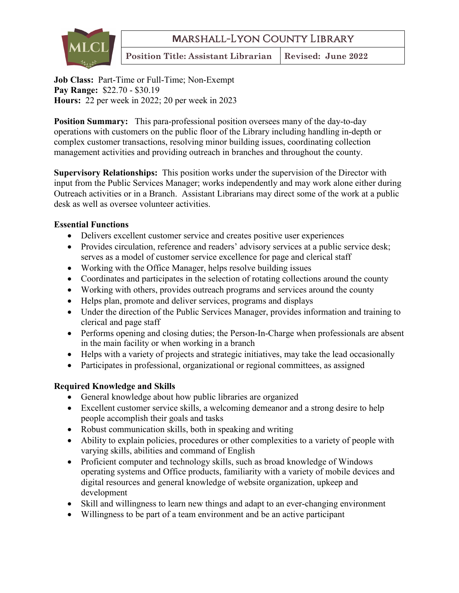**M**arshall-Lyon County Library



**Position Title: Assistant Librarian** Revised: June 2022

**Job Class:** Part-Time or Full-Time; Non-Exempt **Pay Range:** \$22.70 - \$30.19 **Hours:** 22 per week in 2022; 20 per week in 2023

**Position Summary:** This para-professional position oversees many of the day-to-day operations with customers on the public floor of the Library including handling in-depth or complex customer transactions, resolving minor building issues, coordinating collection management activities and providing outreach in branches and throughout the county.

**Supervisory Relationships:** This position works under the supervision of the Director with input from the Public Services Manager; works independently and may work alone either during Outreach activities or in a Branch. Assistant Librarians may direct some of the work at a public desk as well as oversee volunteer activities.

## **Essential Functions**

- Delivers excellent customer service and creates positive user experiences
- Provides circulation, reference and readers' advisory services at a public service desk; serves as a model of customer service excellence for page and clerical staff
- Working with the Office Manager, helps resolve building issues
- Coordinates and participates in the selection of rotating collections around the county
- Working with others, provides outreach programs and services around the county
- Helps plan, promote and deliver services, programs and displays
- Under the direction of the Public Services Manager, provides information and training to clerical and page staff
- Performs opening and closing duties; the Person-In-Charge when professionals are absent in the main facility or when working in a branch
- Helps with a variety of projects and strategic initiatives, may take the lead occasionally
- Participates in professional, organizational or regional committees, as assigned

## **Required Knowledge and Skills**

- General knowledge about how public libraries are organized
- Excellent customer service skills, a welcoming demeanor and a strong desire to help people accomplish their goals and tasks
- Robust communication skills, both in speaking and writing
- Ability to explain policies, procedures or other complexities to a variety of people with varying skills, abilities and command of English
- Proficient computer and technology skills, such as broad knowledge of Windows operating systems and Office products, familiarity with a variety of mobile devices and digital resources and general knowledge of website organization, upkeep and development
- Skill and willingness to learn new things and adapt to an ever-changing environment
- Willingness to be part of a team environment and be an active participant